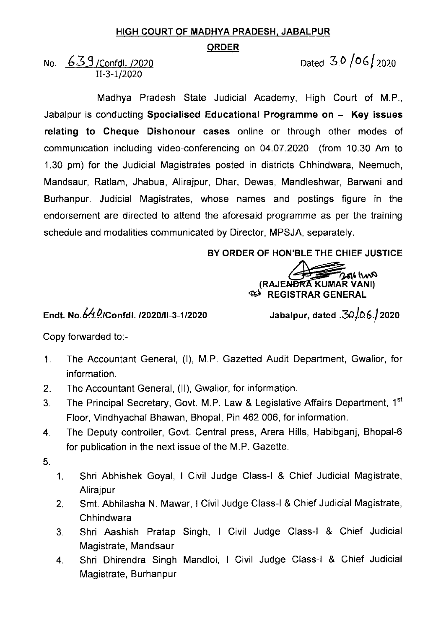## HIGH COURT OF MADHYA PRADESH, JABALPUR

## ORDER

No.  $639$  /Confdl. /2020 Dated 3.0 06 2020 11-3-1/2020

Madhya Pradesh State Judicial Academy, High Court of M.P., Jabalpur is conducting Specialised Educational Programme on  $-$  Key issues relating to Cheque Dishonour cases online or through other modes of communication including video-conferencing on 04.07.2020 (from 10.30 Am to 1.30 pm) for the Judicial Magistrates posted in districts Chhindwara, Neemuch, Mandsaur, Ratlam, Jhabua, Alirajpur, Dhar, Dewas, Mandleshwar, Barwani and Burhanpur. Judicial Magistrates, whose names and postings figure in the endorsement are directed to attend the aforesaid programme as per the training schedule and modalities communicated by Director, MPSJA, separately.

BY ORDER OF HON'BLE THE CHIEF JUSTICE

**RAJENDRA KUMAR VAN)**<br>W. REGISTRAR GENERAL

## Endt. No.64.Q/Confdl. /2020/11-3-1/2020

Jabalpur, dated  $.30/0.6$ . 2020

Copy forvarded to:-

- 1. The Accountant General, (I), M.P. Gazetted Audit Department, Gwalior, for information.
- 2. The Accountant General, (ll), Gwalior, for information.
- 3. The Principal Secretary, Govt. M.P. Law & Legislative Affairs Department, 1<sup>st</sup> Floor, Vindhyachal Bhawan, Bhopal, Pin 462 006, for information.
- 4. The Deputy controller, Govt. Central press, Arera Hills, Habibganj, Bhopal-6 for publication in the next issue of the M.P. Gazette.
- 5.
- 1. Shri Abhishek Goyal, I Civil Judge Class-I & Chief Judicial Magistrate, Alirajpur
- 2. Smt. Abhilasha N. Mawar, I civil Judge class-I & Chief Judicial Magistrate, Chhindwara
- 3. Shri Aashish Pratap Singh, I Civil Judge Class-I & Chief Judicial Magistrate, Mandsaur
- 4. Shri Dhirendra Singh Mandloi, I Civil Judge Class-I & Chief Judicial Magistrate, Burhanpur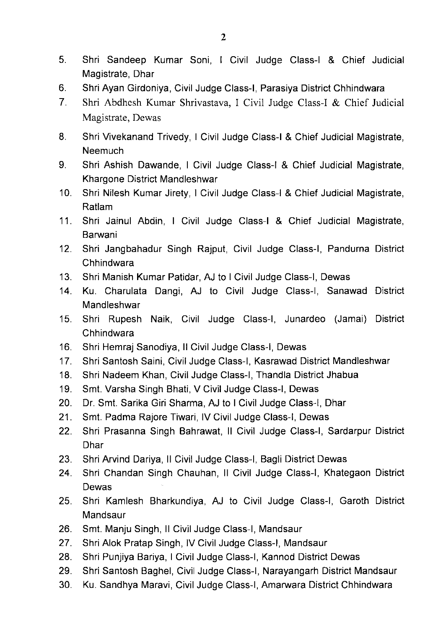- 5. Shri Sandeep Kumar Soni, I Civil Judge Class-I & Chief Judicial Magistrate, Dhar
- 6. Shri Ayan Girdoniya, Civil Judge class-I, Parasiya District chhindwara
- 7. Shri Abdhcsh Kumar Shrivastava, I Civil Judge Class-I & Chief Judicial Magistrate, Dewas
- 8. Shri Vivekanand Trivedy, I Civil Judge Class-I & Chief Judicial Magistrate, **Neemuch**
- 9. Shri Ashish Dawande, I Civil Judge Class-I & Chief Judicial Magistrate, Khargone District Mandleshwar
- 10. Shri Nilesh Kumar Jirety, I Civil Judge Class-I & Chief Judicial Magistrate, Ratlam
- 11. Shri Jainul Abdin, I Civil Judge Class-I & Chief Judicial Magistrate, Barwani
- 12. Shri Jangbahadur Singh Rajput, Civil Judge Class-I, Pandurna District Chhindwara
- 13. Shri Manish Kumar Patidar, AJ to I Civil Judge Class-I, Dewas
- 14. Ku. Charulata Dangi, AJ to Civil Judge Class-I, Sanawad District **Mandleshwar**
- 15. Shri Rupesh Naik, Civil Judge Class-I, Junardeo (Jamai) District Chhindwara
- 16. Shri Hemraj Sanodiya, Il Civil Judge Class-I, Dewas
- 17. Shri Santosh Saini, Civil Judge Class-I, Kasrawad District Mandleshwar
- 18. Shri Nadeem Khan, Civil Judge Class-I, Thandla District Jhabua
- 19. Smt. Varsha Singh Bhati, V Civil Judge Class-I, Dewas
- 20. Dr. Smt. Sarika Giri Sharma, AJ to I Civil Judge Class-I, Dhar
- 21. Smt. Padma Rajore Tiwari, IV Civil Judge Class-I, Dewas
- 22. Shri Prasanna Singh Bahrawat, 11 Civil Judge Class-I, Sardarpur District Dhar
- 23. Shri Arvind Dariya, Il Civil Judge Class-I, Bagli District Dewas
- 24. Shri Chandan Singh Chauhan, 11 Civil Judge Class-I, Khategaon District Dewas
- 25. Shri Kamlesh Bharkundiya, AJ to Civil Judge Class-I, Garoth District Mandsaur
- 26. Smt. Manju Singh, Il Civil Judge Class-I, Mandsaur
- 27. Shri Alok Pratap Singh, IV Civil Judge Class-I, Mandsaur
- 28. Shri Punjiya Bariya, I Civil Judge Class-I, Kannod District Dewas
- 29. Shri Santosh Baghel, Civil Judge Class-I, Narayangarh District Mandsaur
- 30. Ku. Sandhya Maravi, Civil Judge Class-I, Amarvara District Chhindwara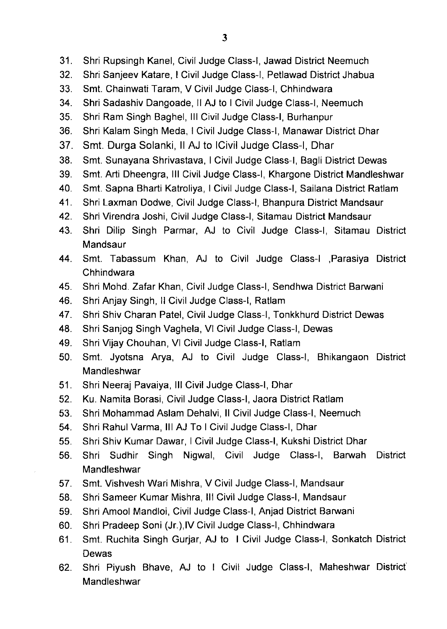- 31. Shri Rupsingh Kanel, Civil Judge Class-I, Jawad District Neemuch
- 32. Shri Sanjeev Katare, I Civil Judge Class-I, Petlawad District Jhabua
- 33. Smt. Chainwati Taram, V civil Judge class-I, Chhindwara
- 34. Shri Sadashiv Dangoade, Il AJ to I Civil Judge Class-I, Neemuch
- 35. Shri Ram Singh Baghel, III Civil Judge Class-I, Burhanpur
- 36. Shri Kalam Singh Meda, I Civil Judge Class-I, Manawar District Dhar
- 37. Smt. Durga Solanki, Il AJ to ICivil Judge Class-I, Dhar
- 38. Smt. Sunayana Shrivastava, I Civil Judge Class-I, Bagli District Dewas
- 39. Smt. Arti Dheengra, III Civil Judge Class-I, Khargone District Mandleshwar
- 40. Smt. Sapna Bharti Katroliya, I Civil Judge Class-I, Sailana District Ratlam
- 41. Shri Laxman Dodwe, Civil Judge Class-I, Bhanpura District Mandsaur
- 42. Shri Virendra Joshi, Civil Judge Class-I, Sitamau District Mandsaur
- 43. Shri Dilip Singh Parmar, AJ to Civil Judge Class-I, Sitamau District **Mandsaur**
- 44. Smt. Tabassum Khan, AJ to Civil Judge Class-I ,Parasiya District Chhindwara
- 45. Shri Mohd. Zafar Khan, Civil Judge Class-I, Sendhwa District Barvani
- 46. Shri Anjay Singh, Il Civil Judge Class-I, Ratlam
- 47. Shri Shiv Charan Patel, Civil Judge Class-I, Tonkkhurd District Dewas
- 48. Shri Sanjog Singh Vaghela, VI Civil Judge Class-I, Dewas
- 49. Shri vijay chouhan, VI civil Judge class-I, Ratlam
- 50. Smt. Jyotsna Arya, AJ to Civil Judge Class-I, Bhikangaon District **Mandleshwar**
- 51. Shri Neeraj pavaiya, Ill civil Judge class-I, Dhar
- 52. Ku. Namita Borasi, Civil Judge Class-I, Jaora District Ratlam
- 53. Shri Mohammad Aslam Dehalvi, II Civil Judge Class-I, Neemuch
- 54. Shri Rahul Varma, III AJ To I Civil Judge Class-I, Dhar
- 55. Shri Shiv Kumar Dawar,I Civil Judge Class-I, Kukshi District Dhar
- 56. Shri Sudhir Singh Nigwal, Civil Judge Class-I, Barwah District Mandleshwar
- 57. Smt. Vishvesh wari Mishra, V civil Judge class-I, Mandsaur
- 58. Shri sameer Kumar Mishra, Ill civil Judge class-I, Mandsaur
- 59. Shri Amool Mandloi, Civil Judge Class-I, Anjad District Barwani
- 60. Shri pradeep soni (Jr.),lv civil Judge class-I, Chhindwara
- 61. Smt. Ruchita Singh Gurjar, AJ to I Civil Judge Class-I, Sonkatch District Dewas
- 62. Shri Piyush Bhave, AJ to I Civil Judge Class-I, Maheshwar District Mandleshwar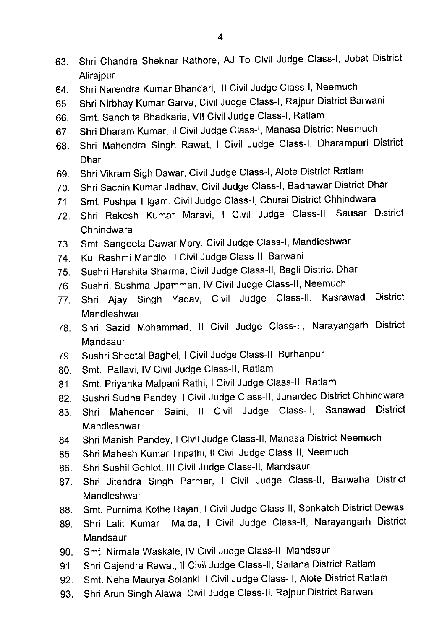- 63. Shri Chandra Shekhar Rathore, AJ To Civil Judge Class-I, Jobat District **Alirajpur**
- 64. Shri Narendra Kumar Bhandari, III Civil Judge Class-I, Neemuch
- 65. Shri Nirbhay Kumar Garva, Civil Judge Class-I, Rajpur District Barwani
- 66. Smt. Sanchita Bhadkaria, Vll Civil Judge Class-I, Ratlam
- 67. Shri Dharam Kumar, II Civil Judge Class-I, Manasa District Neemuch
- 68. Shri Mahendra Singh Rawat, I Civil Judge Class-I, Dharampuri District Dhar
- 69. Shri Vikram Sigh Dawar, Civil Judge Class-I, Alote District Ratlam
- 70. Shri Sachin Kumar Jadhav, Civil Judge Class-I, Badnawar District Dhar
- 71. Smt. Pushpa Tilgam, Civil Judge class-I, Churai District chhindwara
- 72. Shri Rakesh Kumar Maravi, I Civil Judge Class-ll, Sausar District **Chhindwara**
- 73. Smt. Sangeeta Dawar Mory, Civil Judge Class-I, Mandleshwar
- 74. Ku. Rashmi Mandloi, I Civil Judge Class-II, Barwani
- 75. Sushri Harshita Sharma, Civil Judge Class-II, Bagli District Dhar
- 76. Sushri. Sushma Upamman, IV Civil Judge Class-II, Neemuch
- 77. Shri Ajay Singh Yadav, Civil Judge Class-ll, Kasrawad District Mandleshwar
- 78. Shri Sazid Mohammad, 11 Civil Judge Class-lI, Narayangarh District Mandsaur
- 79. Sushri Sheetal Baghel, I Civil Judge Class-II, Burhanpur
- 80. Smt. Pallavi, IV Civil Judge Class-II, Ratlam
- 81. Smt. Priyanka Malpani Rathi, I Civil Judge Class-II, Ratlam
- 82. Sushri Sudha Pandey, I Civil Judge Class-II, Junardeo District Chhindwara
- 83. Shri Mahender Saini, 11 Civil Judge Class-ll, Sanawad District Mandleshwar
- 84. Shri Manish Pandey, I Civil Judge Class-II, Manasa District Neemuch
- 85. Shri Mahesh Kumar Tripathi, II Civil Judge Class-II, Neemuch
- 86. Shri Sushil Gehlot, III Civil Judge Class-II, Mandsaur
- 87. Shri Jitendra Singh Parmar, I Civil Judge Class-ll, Barwaha District Mandleshwar
- 88. Smt. Purnima Kothe Rajan, I Civil Judge Class-II, Sonkatch District Dewas
- 89. Shri Lalit Kumar Maida, I Civil Judge Class-ll, Narayangarh District Mandsaur
- 90. Smt. Nirmala Waskale, IV Civil Judge Class-II, Mandsaur
- 91. Shri Gajendra Rawat, Il Civil Judge Class-II, Sailana District Ratlam
- 92. Smt. Neha Maurya Solanki, I Civil Judge Class-II, Alote District Ratlam
- 93. Shri Arun Singh Alawa, Civil Judge Class-ll, Rajpur District Barvani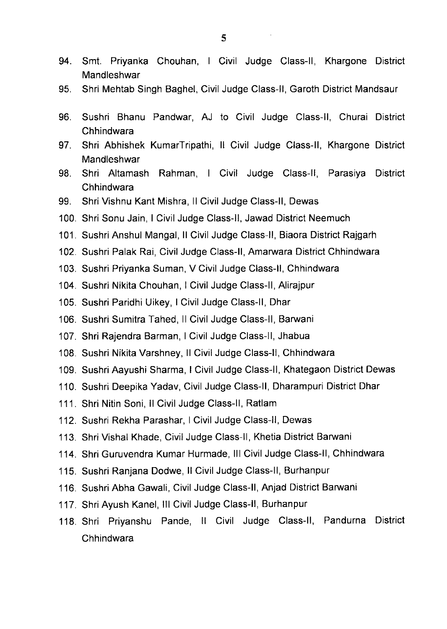- 94. Smt. Priyanka Chouhan, I Civil Judge Class-ll, Khargone District **Mandleshwar**
- 95. Shri Mehtab Singh Baghel, Civil Judge Class-ll, Garoth District Mandsaur
- 96. Sushri Bhanu Pandwar, AJ to Civil Judge Class-ll, Churai District Chhindwara
- 97. Shri Abhishek KumarTripathi, 11 Civil Judge Class-ll, Khargone District Mandleshwar
- 98. Shri Altamash Rahman, I Civil Judge Class-ll, Parasiya District Chhindwara
- 99. Shri Vishnu Kant Mishra, Il Civil Judge Class-II, Dewas
- 100. Shri Sonu Jain,I Civil Judge Class-ll, Jawad District Neemuch
- 101. Sushri Anshul Mangal, II Civil Judge Class-II, Biaora District Raigarh
- 102. Sushri Palak Rai, Civil Judge Class-ll, Amarwara District Chhindwara
- 103. Sushri Priyanka Suman, V Civil Judge Class-ll, Chhindwara
- 104. Sushri Nikita Chouhan, I Civil Judge Class-II, Alirajpur
- 105. Sushri Paridhi Uikey,I Civil Judge Class-ll, Dhar
- 106. Sushri Sumitra Tahed, Il Civil Judge Class-II, Barwani
- 107. Shri Rajendra Barman, I Civil Judge Class-II, Jhabua
- 108. Sushri Nikita Varshney, Il Civil Judge Class-II, Chhindwara
- 109. Sushri Aayushi Sharma, I Civil Judge Class-II, Khategaon District Dewas
- 110. Sushri Deepika Yadav, Civil Judge Class-ll, Dharampuri District Dhar
- 111. Shri Nitin Soni, Il Civil Judge Class-II, Ratlam
- 112. Sushri Rekha Parashar, I Civil Judge Class-II, Dewas
- 113. Shri Vishal Khade, Civil Judge Class-ll, Khetia District Barwani
- 114. Shri Guruvendra Kumar Hurmade,Ill Civil Judge Class-ll, Chhindwara
- 115. Sushri Ranjana Dodwe, Il Civil Judge Class-II, Burhanpur
- 116. Sushri Abha Gawali, Civil Judge Class-ll, Anjad District Barvani
- 117. Shri Ayush Kanel, III Civil Judge Class-II, Burhanpur
- 118. Shri Priyanshu Pande, 11 Civil Judge Class-Il, Pandurna District Chhindwara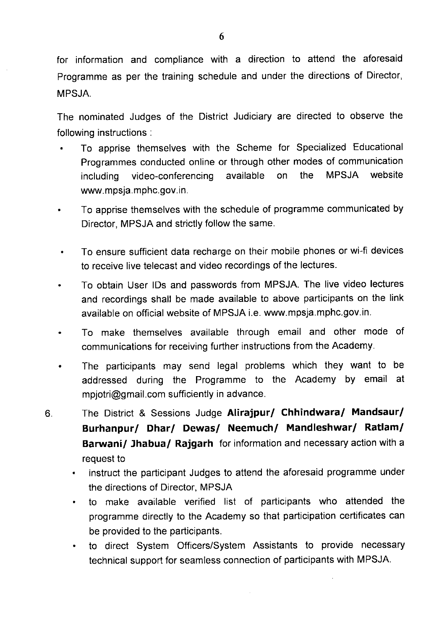for information and compliance with a direction to attend the aforesaid Programme as per the training schedule and under the directions of Director, MPSJA.

The nominated Judges of the District Judiciary are directed to observe the following instructions :

- To apprise themselves with the Scheme for Specialized Educational Programmes conducted online or through other modes of communication including video-conferencing available on the MPSJA website www.mpsja.mphc.gov.in.
- To apprise themselves with the schedule of programme communicated by Director, MPSJA and strictly follow the same.
- To ensure sufficient data recharge on their mobile phones or wi-fi devices to receive live telecast and video recordings of the lectures.
- To obtain User lDs and passwords from MPSJA. The live video lectures and recordings shall be made available to above participants on the link available on official website of MPSJA i.e. www.mpsja.mphc.gov.in.
- To make themselves available through email and other mode of communications for receiving further instructions from the Academy.
- The participants may send legal problems which they want to be addressed during the Programme to the Academy by email at mpjotri@gmail.com sufficiently in advance.
- The District & Sessions Judge Alirajpur/ Chhindwara/ Mandsaur/ 6. Burhanpur/ Dhar/ Dewas/ Neemuch/ Mandleshwar/ Ratlam/ Barwani/ Jhabua/ Rajgarh for information and necessary action with a request to
	- instruct the participant Judges to attend the aforesaid programme under the directions of Director, MPSJA
	- to make available verified list of participants who attended the programme directly to the Academy so that participation certificates can be provided to the participants.
	- to direct System Officers/System Assistants to provide necessary technical support for seamless connection of participants with MPSJA.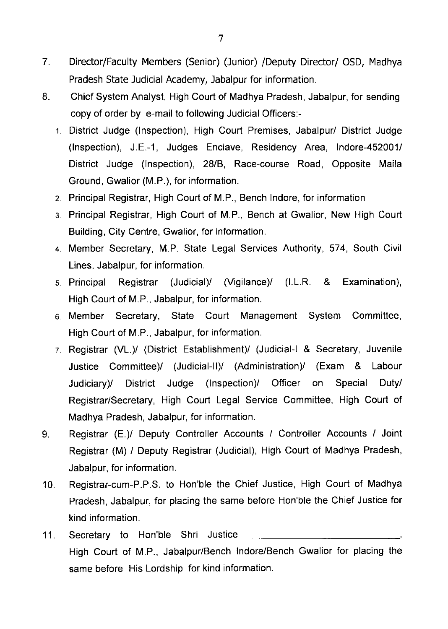- 7. Director/Faculty Members (Senior) (Junior) /Deputy Director/ OSD, Madhya Pradesh State Judicial Academy, Jabalpur for information.
- 8. Chief System Analyst, High Court of Madhya Pradesh, Jabalpur, for sending copy of order by e-mail to following Judicial Officers:-
	- 1 District Judge (Inspection), High Court Premises, Jabalpur/ District Judge (Inspection), J.E.-1, Judges Enclave, Residency Area, lndore-452001/ District Judge (Inspection), 28/8, Race-course Road, Opposite Maila Ground, Gwalior (M.P.), for information.
	- 2. Principal Registrar, High Court of M.P., Bench lndore, for information
	- 3. Principal Registrar, High Court of M.P., Bench at Gwalior, New High Court Building, City Centre, Gwalior, for information.
	- 4. Member Secretary, M.P. State Legal Services Authority, 574, South Civil Lines, Jabalpur, for information.
	- 5 Principal Registrar (Judicial)/ (Vigilance)/ (I.L.R. & Examination), High Court of M.P., Jabalpur, for information.
	- 6. Member Secretary, State Court Management System Committee, High Court of M.P., Jabalpur, for information.
	- 7 Registrar (VL.)/ (District Establishment)/ (Judicial-I & Secretary, Juvenile Justice Committee)/ (Judicial-ll)/ (Administration)/ (Exam & Labour Judiciary)/ District Judge (Inspection)/ Officer on Special Duty/ Registrar/Secretary, High Court Legal Service Committee, High Court of Madhya Pradesh, Jabalpur, for information.
- 9. Registrar (E.)/ Deputy Controller Accounts / Controller Accounts / Joint Registrar (M) / Deputy Registrar (Judicial), High Court of Madhya Pradesh, Jabalpur, for information.
- 10. Registrar-cum-P.P.S. to Hon'ble the Chief Justice, High Court of Madhya Pradesh, Jabalpur, for placing the same before Hon'ble the Chief Justice for kind information.
- 11. Secretary to Hon'ble Shri Justice High Court of M.P., Jabalpur/Bench lndore/Bench Gwalior for placing the same before His Lordship for kind information.